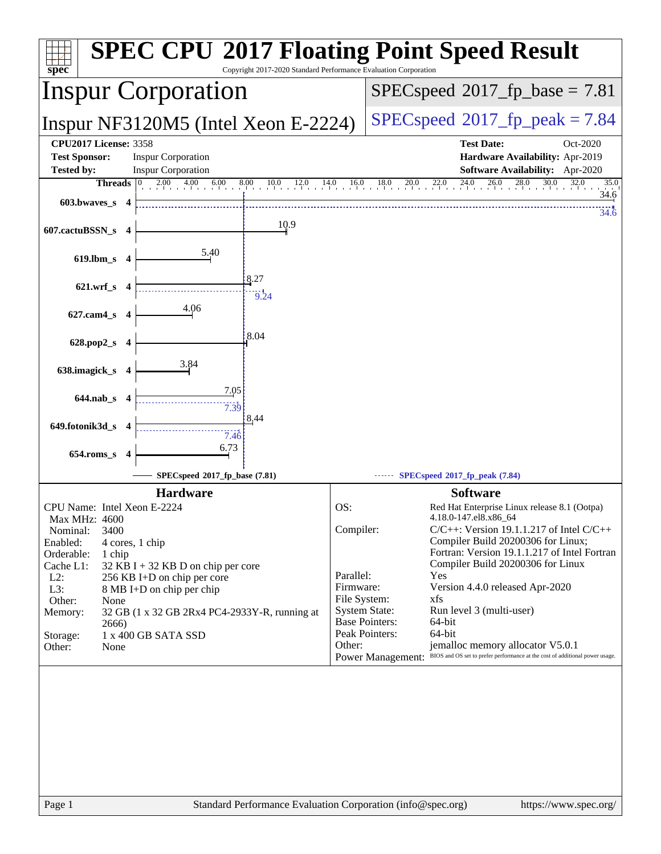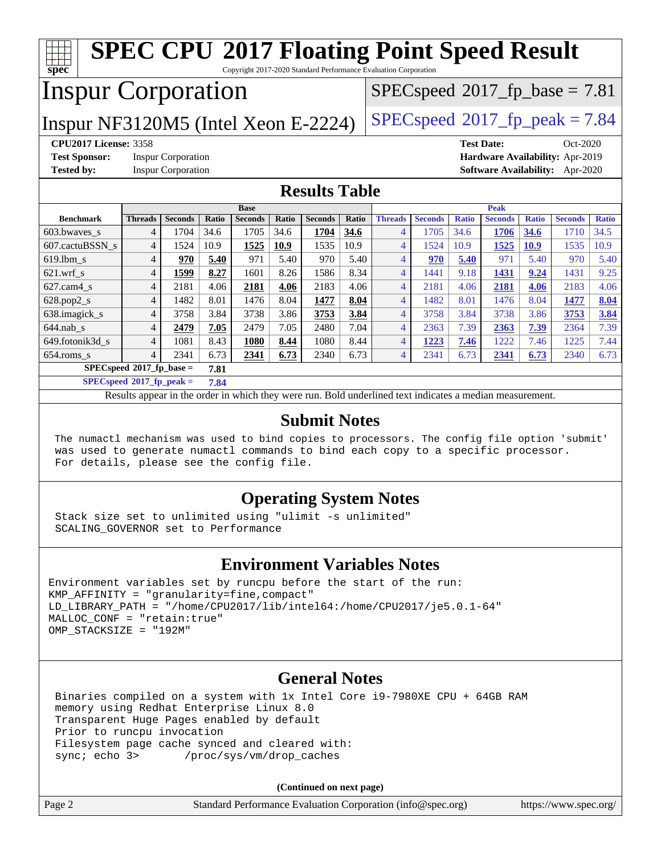#### **[spec](http://www.spec.org/) [SPEC CPU](http://www.spec.org/auto/cpu2017/Docs/result-fields.html#SPECCPU2017FloatingPointSpeedResult)[2017 Floating Point Speed Result](http://www.spec.org/auto/cpu2017/Docs/result-fields.html#SPECCPU2017FloatingPointSpeedResult)** Copyright 2017-2020 Standard Performance Evaluation Corporation Inspur Corporation Inspur NF3120M5 (Intel Xeon E-2224)  $|SPECspeed^{\circ}2017_fp_peak = 7.84$  $|SPECspeed^{\circ}2017_fp_peak = 7.84$  $|SPECspeed^{\circ}2017_fp_peak = 7.84$  $|SPECspeed^{\circ}2017_fp_peak = 7.84$  $|SPECspeed^{\circ}2017_fp_peak = 7.84$  $SPECspeed^{\circledcirc}2017$  $SPECspeed^{\circledcirc}2017$  fp base = 7.81 **[CPU2017 License:](http://www.spec.org/auto/cpu2017/Docs/result-fields.html#CPU2017License)** 3358 **[Test Date:](http://www.spec.org/auto/cpu2017/Docs/result-fields.html#TestDate)** Oct-2020 **[Test Sponsor:](http://www.spec.org/auto/cpu2017/Docs/result-fields.html#TestSponsor)** Inspur Corporation **[Hardware Availability:](http://www.spec.org/auto/cpu2017/Docs/result-fields.html#HardwareAvailability)** Apr-2019 **[Tested by:](http://www.spec.org/auto/cpu2017/Docs/result-fields.html#Testedby)** Inspur Corporation **[Software Availability:](http://www.spec.org/auto/cpu2017/Docs/result-fields.html#SoftwareAvailability)** Apr-2020 **[Results Table](http://www.spec.org/auto/cpu2017/Docs/result-fields.html#ResultsTable) [Benchmark](http://www.spec.org/auto/cpu2017/Docs/result-fields.html#Benchmark) [Threads](http://www.spec.org/auto/cpu2017/Docs/result-fields.html#Threads) [Seconds](http://www.spec.org/auto/cpu2017/Docs/result-fields.html#Seconds) [Ratio](http://www.spec.org/auto/cpu2017/Docs/result-fields.html#Ratio) [Seconds](http://www.spec.org/auto/cpu2017/Docs/result-fields.html#Seconds) [Ratio](http://www.spec.org/auto/cpu2017/Docs/result-fields.html#Ratio) [Seconds](http://www.spec.org/auto/cpu2017/Docs/result-fields.html#Seconds) [Ratio](http://www.spec.org/auto/cpu2017/Docs/result-fields.html#Ratio) Base [Threads](http://www.spec.org/auto/cpu2017/Docs/result-fields.html#Threads) [Seconds](http://www.spec.org/auto/cpu2017/Docs/result-fields.html#Seconds) [Ratio](http://www.spec.org/auto/cpu2017/Docs/result-fields.html#Ratio) [Seconds](http://www.spec.org/auto/cpu2017/Docs/result-fields.html#Seconds) [Ratio](http://www.spec.org/auto/cpu2017/Docs/result-fields.html#Ratio) [Seconds](http://www.spec.org/auto/cpu2017/Docs/result-fields.html#Seconds) [Ratio](http://www.spec.org/auto/cpu2017/Docs/result-fields.html#Ratio) Peak** [603.bwaves\\_s](http://www.spec.org/auto/cpu2017/Docs/benchmarks/603.bwaves_s.html) 4 1704 34.6 1705 34.6 **[1704](http://www.spec.org/auto/cpu2017/Docs/result-fields.html#Median) [34.6](http://www.spec.org/auto/cpu2017/Docs/result-fields.html#Median)** 4 1705 34.6 **[1706](http://www.spec.org/auto/cpu2017/Docs/result-fields.html#Median) [34.6](http://www.spec.org/auto/cpu2017/Docs/result-fields.html#Median)** 1710 34.5 [607.cactuBSSN\\_s](http://www.spec.org/auto/cpu2017/Docs/benchmarks/607.cactuBSSN_s.html) 4 1524 10.9 **[1525](http://www.spec.org/auto/cpu2017/Docs/result-fields.html#Median) [10.9](http://www.spec.org/auto/cpu2017/Docs/result-fields.html#Median)** 1535 10.9 4 1524 10.9 **[1525](http://www.spec.org/auto/cpu2017/Docs/result-fields.html#Median) [10.9](http://www.spec.org/auto/cpu2017/Docs/result-fields.html#Median)** 1535 10.9 [619.lbm\\_s](http://www.spec.org/auto/cpu2017/Docs/benchmarks/619.lbm_s.html) 4 **[970](http://www.spec.org/auto/cpu2017/Docs/result-fields.html#Median) [5.40](http://www.spec.org/auto/cpu2017/Docs/result-fields.html#Median)** 971 5.40 970 5.40 4 **[970](http://www.spec.org/auto/cpu2017/Docs/result-fields.html#Median) [5.40](http://www.spec.org/auto/cpu2017/Docs/result-fields.html#Median)** 971 5.40 970 5.40 [621.wrf\\_s](http://www.spec.org/auto/cpu2017/Docs/benchmarks/621.wrf_s.html) 4 **[1599](http://www.spec.org/auto/cpu2017/Docs/result-fields.html#Median) [8.27](http://www.spec.org/auto/cpu2017/Docs/result-fields.html#Median)** 1601 8.26 1586 8.34 4 1441 9.18 **[1431](http://www.spec.org/auto/cpu2017/Docs/result-fields.html#Median) [9.24](http://www.spec.org/auto/cpu2017/Docs/result-fields.html#Median)** 1431 9.25 [627.cam4\\_s](http://www.spec.org/auto/cpu2017/Docs/benchmarks/627.cam4_s.html) 4 2181 4.06 **[2181](http://www.spec.org/auto/cpu2017/Docs/result-fields.html#Median) [4.06](http://www.spec.org/auto/cpu2017/Docs/result-fields.html#Median)** 2183 4.06 4 2181 4.06 **[2181](http://www.spec.org/auto/cpu2017/Docs/result-fields.html#Median) [4.06](http://www.spec.org/auto/cpu2017/Docs/result-fields.html#Median)** 2183 4.06 [628.pop2\\_s](http://www.spec.org/auto/cpu2017/Docs/benchmarks/628.pop2_s.html) 4 1482 8.01 1476 8.04 **[1477](http://www.spec.org/auto/cpu2017/Docs/result-fields.html#Median) [8.04](http://www.spec.org/auto/cpu2017/Docs/result-fields.html#Median)** 4 1482 8.01 1476 8.04 **[1477](http://www.spec.org/auto/cpu2017/Docs/result-fields.html#Median) [8.04](http://www.spec.org/auto/cpu2017/Docs/result-fields.html#Median)** [638.imagick\\_s](http://www.spec.org/auto/cpu2017/Docs/benchmarks/638.imagick_s.html) 4 3758 3.84 3738 3.86 **[3753](http://www.spec.org/auto/cpu2017/Docs/result-fields.html#Median) [3.84](http://www.spec.org/auto/cpu2017/Docs/result-fields.html#Median)** 4 3758 3.84 3738 3.86 **[3753](http://www.spec.org/auto/cpu2017/Docs/result-fields.html#Median) [3.84](http://www.spec.org/auto/cpu2017/Docs/result-fields.html#Median)** [644.nab\\_s](http://www.spec.org/auto/cpu2017/Docs/benchmarks/644.nab_s.html) 4 **[2479](http://www.spec.org/auto/cpu2017/Docs/result-fields.html#Median) [7.05](http://www.spec.org/auto/cpu2017/Docs/result-fields.html#Median)** 2479 7.05 2480 7.04 4 2363 7.39 **[2363](http://www.spec.org/auto/cpu2017/Docs/result-fields.html#Median) [7.39](http://www.spec.org/auto/cpu2017/Docs/result-fields.html#Median)** 2364 7.39 [649.fotonik3d\\_s](http://www.spec.org/auto/cpu2017/Docs/benchmarks/649.fotonik3d_s.html) 4 1081 8.43 **[1080](http://www.spec.org/auto/cpu2017/Docs/result-fields.html#Median) [8.44](http://www.spec.org/auto/cpu2017/Docs/result-fields.html#Median)** 1080 8.44 4 **[1223](http://www.spec.org/auto/cpu2017/Docs/result-fields.html#Median) [7.46](http://www.spec.org/auto/cpu2017/Docs/result-fields.html#Median)** 1222 7.46 1225 7.44 [654.roms\\_s](http://www.spec.org/auto/cpu2017/Docs/benchmarks/654.roms_s.html) 4 2341 6.73 **[2341](http://www.spec.org/auto/cpu2017/Docs/result-fields.html#Median) [6.73](http://www.spec.org/auto/cpu2017/Docs/result-fields.html#Median)** 2340 6.73 4 2341 6.73 **[2341](http://www.spec.org/auto/cpu2017/Docs/result-fields.html#Median) [6.73](http://www.spec.org/auto/cpu2017/Docs/result-fields.html#Median)** 2340 6.73 **[SPECspeed](http://www.spec.org/auto/cpu2017/Docs/result-fields.html#SPECspeed2017fpbase)[2017\\_fp\\_base =](http://www.spec.org/auto/cpu2017/Docs/result-fields.html#SPECspeed2017fpbase) 7.81 [SPECspeed](http://www.spec.org/auto/cpu2017/Docs/result-fields.html#SPECspeed2017fppeak)[2017\\_fp\\_peak =](http://www.spec.org/auto/cpu2017/Docs/result-fields.html#SPECspeed2017fppeak) 7.84** Results appear in the [order in which they were run.](http://www.spec.org/auto/cpu2017/Docs/result-fields.html#RunOrder) Bold underlined text [indicates a median measurement](http://www.spec.org/auto/cpu2017/Docs/result-fields.html#Median). **[Submit Notes](http://www.spec.org/auto/cpu2017/Docs/result-fields.html#SubmitNotes)**

 The numactl mechanism was used to bind copies to processors. The config file option 'submit' was used to generate numactl commands to bind each copy to a specific processor. For details, please see the config file.

# **[Operating System Notes](http://www.spec.org/auto/cpu2017/Docs/result-fields.html#OperatingSystemNotes)**

 Stack size set to unlimited using "ulimit -s unlimited" SCALING\_GOVERNOR set to Performance

# **[Environment Variables Notes](http://www.spec.org/auto/cpu2017/Docs/result-fields.html#EnvironmentVariablesNotes)**

```
Environment variables set by runcpu before the start of the run:
KMP_AFFINITY = "granularity=fine,compact"
LD LIBRARY PATH = "/home/CPU2017/lib/intel64:/home/CPU2017/je5.0.1-64"
MALLOC_CONF = "retain:true"
OMP_STACKSIZE = "192M"
```
## **[General Notes](http://www.spec.org/auto/cpu2017/Docs/result-fields.html#GeneralNotes)**

 Binaries compiled on a system with 1x Intel Core i9-7980XE CPU + 64GB RAM memory using Redhat Enterprise Linux 8.0 Transparent Huge Pages enabled by default Prior to runcpu invocation Filesystem page cache synced and cleared with: sync; echo 3> /proc/sys/vm/drop\_caches

|        | (Continued on next page)                                    |                       |
|--------|-------------------------------------------------------------|-----------------------|
| Page 2 | Standard Performance Evaluation Corporation (info@spec.org) | https://www.spec.org/ |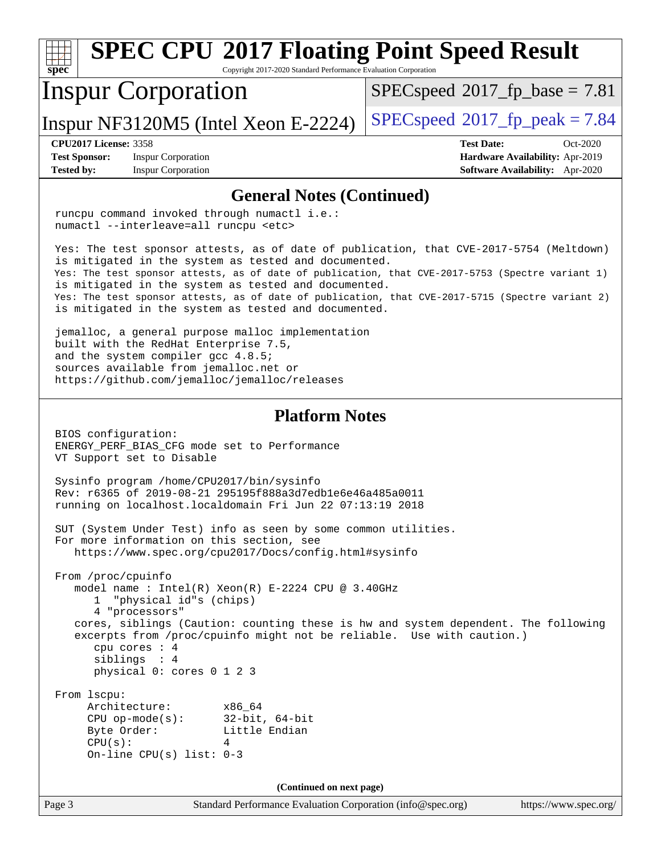#### Page 3 Standard Performance Evaluation Corporation [\(info@spec.org\)](mailto:info@spec.org) <https://www.spec.org/> **[spec](http://www.spec.org/) [SPEC CPU](http://www.spec.org/auto/cpu2017/Docs/result-fields.html#SPECCPU2017FloatingPointSpeedResult)[2017 Floating Point Speed Result](http://www.spec.org/auto/cpu2017/Docs/result-fields.html#SPECCPU2017FloatingPointSpeedResult)** Copyright 2017-2020 Standard Performance Evaluation Corporation Inspur Corporation Inspur NF3120M5 (Intel Xeon E-2224)  $|SPECspeed^{\circ}2017_fp_peak = 7.84$  $|SPECspeed^{\circ}2017_fp_peak = 7.84$  $|SPECspeed^{\circ}2017_fp_peak = 7.84$  $|SPECspeed^{\circ}2017_fp_peak = 7.84$  $|SPECspeed^{\circ}2017_fp_peak = 7.84$  $SPECspeed^{\circledcirc}2017$  $SPECspeed^{\circledcirc}2017$  fp base = 7.81 **[CPU2017 License:](http://www.spec.org/auto/cpu2017/Docs/result-fields.html#CPU2017License)** 3358 **[Test Date:](http://www.spec.org/auto/cpu2017/Docs/result-fields.html#TestDate)** Oct-2020 **[Test Sponsor:](http://www.spec.org/auto/cpu2017/Docs/result-fields.html#TestSponsor)** Inspur Corporation **[Hardware Availability:](http://www.spec.org/auto/cpu2017/Docs/result-fields.html#HardwareAvailability)** Apr-2019 **[Tested by:](http://www.spec.org/auto/cpu2017/Docs/result-fields.html#Testedby)** Inspur Corporation **[Software Availability:](http://www.spec.org/auto/cpu2017/Docs/result-fields.html#SoftwareAvailability)** Apr-2020 **[General Notes \(Continued\)](http://www.spec.org/auto/cpu2017/Docs/result-fields.html#GeneralNotes)** runcpu command invoked through numactl i.e.: numactl --interleave=all runcpu <etc> Yes: The test sponsor attests, as of date of publication, that CVE-2017-5754 (Meltdown) is mitigated in the system as tested and documented. Yes: The test sponsor attests, as of date of publication, that CVE-2017-5753 (Spectre variant 1) is mitigated in the system as tested and documented. Yes: The test sponsor attests, as of date of publication, that CVE-2017-5715 (Spectre variant 2) is mitigated in the system as tested and documented. jemalloc, a general purpose malloc implementation built with the RedHat Enterprise 7.5, and the system compiler gcc 4.8.5; sources available from jemalloc.net or <https://github.com/jemalloc/jemalloc/releases> **[Platform Notes](http://www.spec.org/auto/cpu2017/Docs/result-fields.html#PlatformNotes)** BIOS configuration: ENERGY\_PERF\_BIAS\_CFG mode set to Performance VT Support set to Disable Sysinfo program /home/CPU2017/bin/sysinfo Rev: r6365 of 2019-08-21 295195f888a3d7edb1e6e46a485a0011 running on localhost.localdomain Fri Jun 22 07:13:19 2018 SUT (System Under Test) info as seen by some common utilities. For more information on this section, see <https://www.spec.org/cpu2017/Docs/config.html#sysinfo> From /proc/cpuinfo model name : Intel(R) Xeon(R) E-2224 CPU @ 3.40GHz 1 "physical id"s (chips) 4 "processors" cores, siblings (Caution: counting these is hw and system dependent. The following excerpts from /proc/cpuinfo might not be reliable. Use with caution.) cpu cores : 4 siblings : 4 physical 0: cores 0 1 2 3 From lscpu: Architecture: x86\_64 CPU op-mode(s): 32-bit, 64-bit Byte Order: Little Endian  $CPU(s):$  4 On-line CPU(s) list: 0-3 **(Continued on next page)**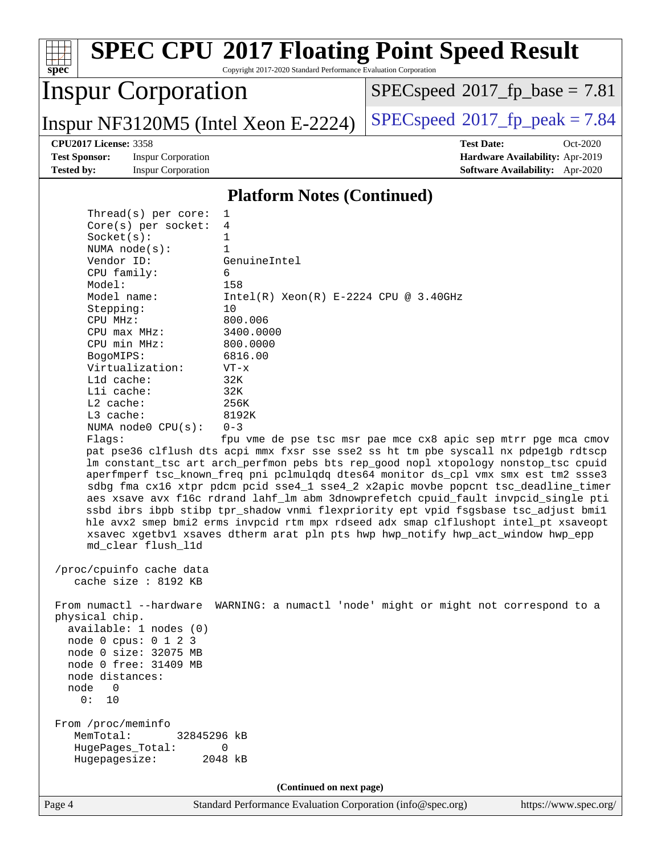| spec <sup>®</sup>                                 | Copyright 2017-2020 Standard Performance Evaluation Corporation | <b>SPEC CPU®2017 Floating Point Speed Result</b>                                                                                                                          |                       |
|---------------------------------------------------|-----------------------------------------------------------------|---------------------------------------------------------------------------------------------------------------------------------------------------------------------------|-----------------------|
| <b>Inspur Corporation</b>                         |                                                                 | $SPEC speed^{\circ}2017\_fp\_base = 7.81$                                                                                                                                 |                       |
| Inspur NF3120M5 (Intel Xeon E-2224)               |                                                                 | $SPEC speed^{\circ}2017\_fp\_peak = 7.84$                                                                                                                                 |                       |
| <b>CPU2017 License: 3358</b>                      |                                                                 | <b>Test Date:</b>                                                                                                                                                         | Oct-2020              |
| <b>Test Sponsor:</b><br><b>Inspur Corporation</b> |                                                                 | Hardware Availability: Apr-2019                                                                                                                                           |                       |
| <b>Tested by:</b><br><b>Inspur Corporation</b>    |                                                                 | <b>Software Availability:</b> Apr-2020                                                                                                                                    |                       |
|                                                   |                                                                 |                                                                                                                                                                           |                       |
|                                                   | <b>Platform Notes (Continued)</b>                               |                                                                                                                                                                           |                       |
| Thread( $s$ ) per core:                           | 1                                                               |                                                                                                                                                                           |                       |
| Core(s) per socket:                               | 4                                                               |                                                                                                                                                                           |                       |
| Socket(s):                                        | 1                                                               |                                                                                                                                                                           |                       |
| NUMA $node(s):$                                   | $\mathbf{1}$                                                    |                                                                                                                                                                           |                       |
| Vendor ID:                                        | GenuineIntel                                                    |                                                                                                                                                                           |                       |
| CPU family:                                       | 6                                                               |                                                                                                                                                                           |                       |
| Model:                                            | 158                                                             |                                                                                                                                                                           |                       |
| Model name:                                       | $Intel(R) Xeon(R) E-2224 CPU @ 3.40GHz$                         |                                                                                                                                                                           |                       |
| Stepping:                                         | 10                                                              |                                                                                                                                                                           |                       |
| CPU MHz:<br>CPU max MHz:                          | 800.006<br>3400.0000                                            |                                                                                                                                                                           |                       |
| CPU min MHz:                                      | 800.0000                                                        |                                                                                                                                                                           |                       |
| BogoMIPS:                                         | 6816.00                                                         |                                                                                                                                                                           |                       |
| Virtualization:                                   | $VT - x$                                                        |                                                                                                                                                                           |                       |
| L1d cache:                                        | 32K                                                             |                                                                                                                                                                           |                       |
| Lli cache:                                        | 32K                                                             |                                                                                                                                                                           |                       |
| L2 cache:                                         | 256K                                                            |                                                                                                                                                                           |                       |
| L3 cache:                                         | 8192K                                                           |                                                                                                                                                                           |                       |
| NUMA node0 CPU(s):                                | $0 - 3$                                                         |                                                                                                                                                                           |                       |
| Flaqs:                                            |                                                                 | fpu vme de pse tsc msr pae mce cx8 apic sep mtrr pge mca cmov                                                                                                             |                       |
|                                                   |                                                                 | pat pse36 clflush dts acpi mmx fxsr sse sse2 ss ht tm pbe syscall nx pdpelgb rdtscp                                                                                       |                       |
|                                                   |                                                                 | lm constant_tsc art arch_perfmon pebs bts rep_good nopl xtopology nonstop_tsc cpuid                                                                                       |                       |
|                                                   |                                                                 | aperfmperf tsc_known_freq pni pclmulqdq dtes64 monitor ds_cpl vmx smx est tm2 ssse3                                                                                       |                       |
|                                                   |                                                                 | sdbg fma cx16 xtpr pdcm pcid sse4_1 sse4_2 x2apic movbe popcnt tsc_deadline_timer                                                                                         |                       |
|                                                   |                                                                 | aes xsave avx f16c rdrand lahf_lm abm 3dnowprefetch cpuid_fault invpcid_single pti<br>ssbd ibrs ibpb stibp tpr_shadow vnmi flexpriority ept vpid fsgsbase tsc_adjust bmil |                       |
|                                                   |                                                                 | hle avx2 smep bmi2 erms invpcid rtm mpx rdseed adx smap clflushopt intel_pt xsaveopt                                                                                      |                       |
|                                                   |                                                                 | xsavec xgetbvl xsaves dtherm arat pln pts hwp hwp_notify hwp_act_window hwp_epp                                                                                           |                       |
| md clear flush l1d                                |                                                                 |                                                                                                                                                                           |                       |
|                                                   |                                                                 |                                                                                                                                                                           |                       |
| /proc/cpuinfo cache data                          |                                                                 |                                                                                                                                                                           |                       |
| cache size : 8192 KB                              |                                                                 |                                                                                                                                                                           |                       |
|                                                   |                                                                 |                                                                                                                                                                           |                       |
| From numactl --hardware                           |                                                                 | WARNING: a numactl 'node' might or might not correspond to a                                                                                                              |                       |
| physical chip.                                    |                                                                 |                                                                                                                                                                           |                       |
| available: 1 nodes (0)                            |                                                                 |                                                                                                                                                                           |                       |
| node 0 cpus: 0 1 2 3                              |                                                                 |                                                                                                                                                                           |                       |
| node 0 size: 32075 MB<br>node 0 free: 31409 MB    |                                                                 |                                                                                                                                                                           |                       |
| node distances:                                   |                                                                 |                                                                                                                                                                           |                       |
| node<br>$\Omega$                                  |                                                                 |                                                                                                                                                                           |                       |
| 0 :<br>10                                         |                                                                 |                                                                                                                                                                           |                       |
|                                                   |                                                                 |                                                                                                                                                                           |                       |
| From /proc/meminfo                                |                                                                 |                                                                                                                                                                           |                       |
| MemTotal:<br>32845296 kB                          |                                                                 |                                                                                                                                                                           |                       |
| HugePages_Total:                                  | 0                                                               |                                                                                                                                                                           |                       |
| Hugepagesize:                                     | 2048 kB                                                         |                                                                                                                                                                           |                       |
|                                                   |                                                                 |                                                                                                                                                                           |                       |
|                                                   | (Continued on next page)                                        |                                                                                                                                                                           |                       |
| Page 4                                            | Standard Performance Evaluation Corporation (info@spec.org)     |                                                                                                                                                                           | https://www.spec.org/ |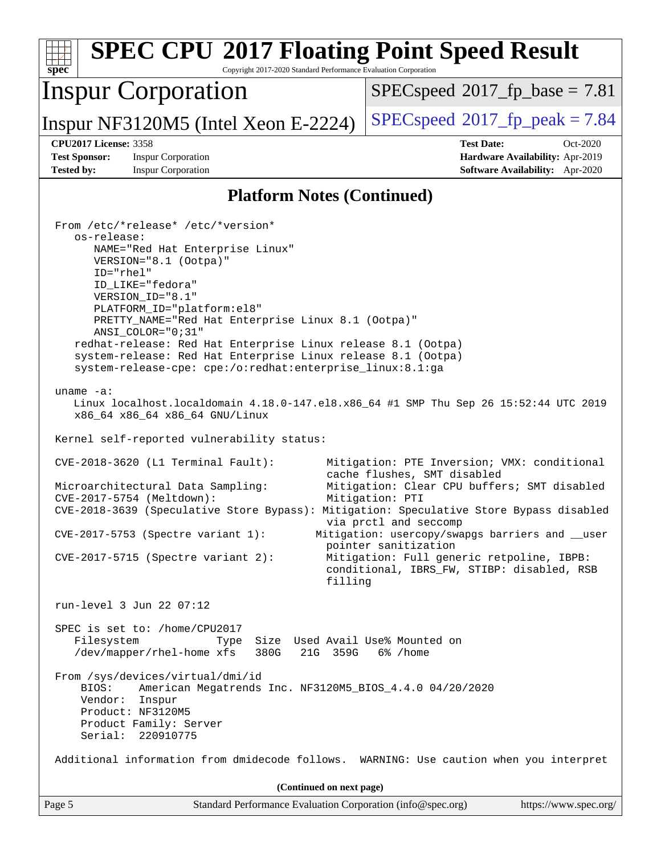| <b>SPEC CPU®2017 Floating Point Speed Result</b><br>Copyright 2017-2020 Standard Performance Evaluation Corporation<br>$spec^*$                                                                                                                                                                                                                                                                                                                                                                                                                                                                                                                                                                                                                                                                                                                                                                                                                        |                                                                                                                                                                                                                                                                                               |
|--------------------------------------------------------------------------------------------------------------------------------------------------------------------------------------------------------------------------------------------------------------------------------------------------------------------------------------------------------------------------------------------------------------------------------------------------------------------------------------------------------------------------------------------------------------------------------------------------------------------------------------------------------------------------------------------------------------------------------------------------------------------------------------------------------------------------------------------------------------------------------------------------------------------------------------------------------|-----------------------------------------------------------------------------------------------------------------------------------------------------------------------------------------------------------------------------------------------------------------------------------------------|
| <b>Inspur Corporation</b>                                                                                                                                                                                                                                                                                                                                                                                                                                                                                                                                                                                                                                                                                                                                                                                                                                                                                                                              | $SPEC speed^{\circ}2017\_fp\_base = 7.81$                                                                                                                                                                                                                                                     |
| Inspur NF3120M5 (Intel Xeon E-2224)                                                                                                                                                                                                                                                                                                                                                                                                                                                                                                                                                                                                                                                                                                                                                                                                                                                                                                                    | $SPEC speed^{\circ}2017$ [p_peak = 7.84                                                                                                                                                                                                                                                       |
| <b>CPU2017 License: 3358</b><br><b>Test Sponsor:</b><br><b>Inspur Corporation</b><br><b>Tested by:</b><br><b>Inspur Corporation</b>                                                                                                                                                                                                                                                                                                                                                                                                                                                                                                                                                                                                                                                                                                                                                                                                                    | <b>Test Date:</b><br>Oct-2020<br>Hardware Availability: Apr-2019<br>Software Availability: Apr-2020                                                                                                                                                                                           |
| <b>Platform Notes (Continued)</b>                                                                                                                                                                                                                                                                                                                                                                                                                                                                                                                                                                                                                                                                                                                                                                                                                                                                                                                      |                                                                                                                                                                                                                                                                                               |
| From /etc/*release* /etc/*version*<br>os-release:<br>NAME="Red Hat Enterprise Linux"<br>VERSION="8.1 (Ootpa)"<br>ID="rhel"<br>ID_LIKE="fedora"<br>VERSION_ID="8.1"<br>PLATFORM_ID="platform:el8"<br>PRETTY_NAME="Red Hat Enterprise Linux 8.1 (Ootpa)"<br>ANSI_COLOR="0;31"<br>redhat-release: Red Hat Enterprise Linux release 8.1 (Ootpa)<br>system-release: Red Hat Enterprise Linux release 8.1 (Ootpa)<br>system-release-cpe: cpe:/o:redhat:enterprise_linux:8.1:ga<br>uname $-a$ :<br>Linux localhost.localdomain 4.18.0-147.el8.x86_64 #1 SMP Thu Sep 26 15:52:44 UTC 2019<br>x86_64 x86_64 x86_64 GNU/Linux<br>Kernel self-reported vulnerability status:<br>$CVE-2018-3620$ (L1 Terminal Fault):<br>Microarchitectural Data Sampling:<br>CVE-2017-5754 (Meltdown):<br>CVE-2018-3639 (Speculative Store Bypass): Mitigation: Speculative Store Bypass disabled<br>$CVE-2017-5753$ (Spectre variant 1):<br>$CVE-2017-5715$ (Spectre variant 2): | Mitigation: PTE Inversion; VMX: conditional<br>cache flushes, SMT disabled<br>Mitigation: Clear CPU buffers; SMT disabled<br>Mitigation: PTI<br>via prctl and seccomp<br>Mitigation: usercopy/swapgs barriers and __user<br>pointer sanitization<br>Mitigation: Full generic retpoline, IBPB: |
| filling                                                                                                                                                                                                                                                                                                                                                                                                                                                                                                                                                                                                                                                                                                                                                                                                                                                                                                                                                | conditional, IBRS_FW, STIBP: disabled, RSB                                                                                                                                                                                                                                                    |
| run-level 3 Jun 22 07:12<br>SPEC is set to: /home/CPU2017                                                                                                                                                                                                                                                                                                                                                                                                                                                                                                                                                                                                                                                                                                                                                                                                                                                                                              |                                                                                                                                                                                                                                                                                               |
| Filesystem<br>Size Used Avail Use% Mounted on<br>Type<br>/dev/mapper/rhel-home xfs<br>380G<br>21G 359G                                                                                                                                                                                                                                                                                                                                                                                                                                                                                                                                                                                                                                                                                                                                                                                                                                                 | 6% /home                                                                                                                                                                                                                                                                                      |
| From /sys/devices/virtual/dmi/id<br>BIOS:<br>American Megatrends Inc. NF3120M5_BIOS_4.4.0 04/20/2020<br>Vendor:<br>Inspur<br>Product: NF3120M5<br>Product Family: Server<br>Serial: 220910775                                                                                                                                                                                                                                                                                                                                                                                                                                                                                                                                                                                                                                                                                                                                                          |                                                                                                                                                                                                                                                                                               |
| Additional information from dmidecode follows. WARNING: Use caution when you interpret                                                                                                                                                                                                                                                                                                                                                                                                                                                                                                                                                                                                                                                                                                                                                                                                                                                                 |                                                                                                                                                                                                                                                                                               |
| (Continued on next page)                                                                                                                                                                                                                                                                                                                                                                                                                                                                                                                                                                                                                                                                                                                                                                                                                                                                                                                               |                                                                                                                                                                                                                                                                                               |
| Page 5<br>Standard Performance Evaluation Corporation (info@spec.org)                                                                                                                                                                                                                                                                                                                                                                                                                                                                                                                                                                                                                                                                                                                                                                                                                                                                                  | https://www.spec.org/                                                                                                                                                                                                                                                                         |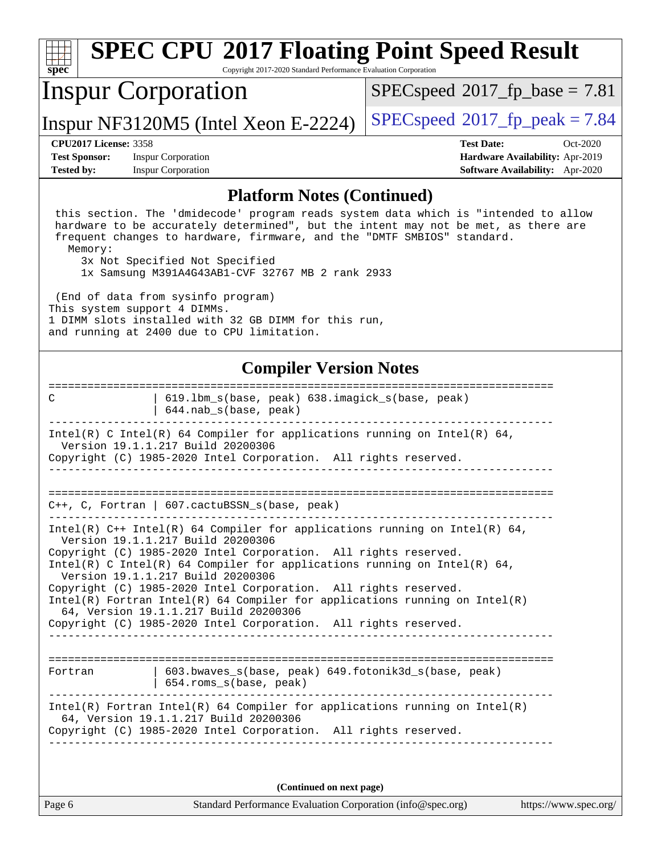| <b>SPEC CPU®2017 Floating Point Speed Result</b><br>Copyright 2017-2020 Standard Performance Evaluation Corporation<br>$SDec^*$                                                                                                                                                                                                                                                                                                                                                                                                                                      |                                                                                                     |  |  |
|----------------------------------------------------------------------------------------------------------------------------------------------------------------------------------------------------------------------------------------------------------------------------------------------------------------------------------------------------------------------------------------------------------------------------------------------------------------------------------------------------------------------------------------------------------------------|-----------------------------------------------------------------------------------------------------|--|--|
| <b>Inspur Corporation</b>                                                                                                                                                                                                                                                                                                                                                                                                                                                                                                                                            | $SPEC speed$ <sup>®</sup> 2017_fp_base = 7.81                                                       |  |  |
| Inspur NF3120M5 (Intel Xeon E-2224)                                                                                                                                                                                                                                                                                                                                                                                                                                                                                                                                  | $SPEC speed@2017_fp\_peak = 7.84$                                                                   |  |  |
| <b>CPU2017 License: 3358</b><br><b>Test Sponsor:</b><br><b>Inspur Corporation</b><br><b>Tested by:</b><br><b>Inspur Corporation</b>                                                                                                                                                                                                                                                                                                                                                                                                                                  | <b>Test Date:</b><br>Oct-2020<br>Hardware Availability: Apr-2019<br>Software Availability: Apr-2020 |  |  |
| <b>Platform Notes (Continued)</b>                                                                                                                                                                                                                                                                                                                                                                                                                                                                                                                                    |                                                                                                     |  |  |
| this section. The 'dmidecode' program reads system data which is "intended to allow<br>hardware to be accurately determined", but the intent may not be met, as there are<br>frequent changes to hardware, firmware, and the "DMTF SMBIOS" standard.<br>Memory:<br>3x Not Specified Not Specified<br>1x Samsung M391A4G43AB1-CVF 32767 MB 2 rank 2933<br>(End of data from sysinfo program)<br>This system support 4 DIMMs.<br>1 DIMM slots installed with 32 GB DIMM for this run,<br>and running at 2400 due to CPU limitation.                                    |                                                                                                     |  |  |
| <b>Compiler Version Notes</b>                                                                                                                                                                                                                                                                                                                                                                                                                                                                                                                                        |                                                                                                     |  |  |
| 619.1bm_s(base, peak) 638.imagick_s(base, peak)<br>C<br>644.nab_s(base, peak)                                                                                                                                                                                                                                                                                                                                                                                                                                                                                        |                                                                                                     |  |  |
| Intel(R) C Intel(R) 64 Compiler for applications running on Intel(R) 64,<br>Version 19.1.1.217 Build 20200306<br>Copyright (C) 1985-2020 Intel Corporation. All rights reserved.                                                                                                                                                                                                                                                                                                                                                                                     |                                                                                                     |  |  |
| $C++$ , C, Fortran   607.cactuBSSN_s(base, peak)                                                                                                                                                                                                                                                                                                                                                                                                                                                                                                                     |                                                                                                     |  |  |
| Intel(R) $C++$ Intel(R) 64 Compiler for applications running on Intel(R) 64,<br>Version 19.1.1.217 Build 20200306<br>Copyright (C) 1985-2020 Intel Corporation. All rights reserved.<br>Intel(R) C Intel(R) 64 Compiler for applications running on Intel(R) 64,<br>Version 19.1.1.217 Build 20200306<br>Copyright (C) 1985-2020 Intel Corporation. All rights reserved.<br>$Intel(R)$ Fortran Intel(R) 64 Compiler for applications running on Intel(R)<br>64, Version 19.1.1.217 Build 20200306<br>Copyright (C) 1985-2020 Intel Corporation. All rights reserved. |                                                                                                     |  |  |
| 603.bwaves_s(base, peak) 649.fotonik3d_s(base, peak)<br>Fortran<br>  654.roms_s(base, peak)                                                                                                                                                                                                                                                                                                                                                                                                                                                                          |                                                                                                     |  |  |
| $Intel(R)$ Fortran Intel(R) 64 Compiler for applications running on Intel(R)<br>64, Version 19.1.1.217 Build 20200306<br>Copyright (C) 1985-2020 Intel Corporation. All rights reserved.                                                                                                                                                                                                                                                                                                                                                                             |                                                                                                     |  |  |
| (Continued on next page)                                                                                                                                                                                                                                                                                                                                                                                                                                                                                                                                             |                                                                                                     |  |  |
| Page 6<br>Standard Performance Evaluation Corporation (info@spec.org)                                                                                                                                                                                                                                                                                                                                                                                                                                                                                                | https://www.spec.org/                                                                               |  |  |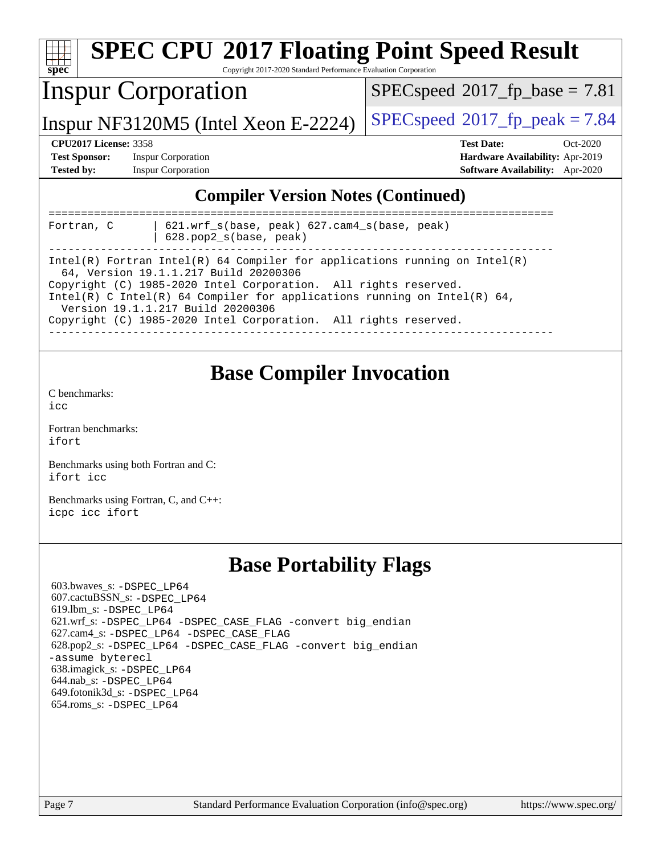| <b>SPEC CPU®2017 Floating Point Speed Result</b><br>$\mathbf{Spec}^*$<br>Copyright 2017-2020 Standard Performance Evaluation Corporation |                           |                                        |  |
|------------------------------------------------------------------------------------------------------------------------------------------|---------------------------|----------------------------------------|--|
| <b>Inspur Corporation</b><br>$SPEC speed^{\circ}2017\_fp\_base = 7.81$                                                                   |                           |                                        |  |
| $SPEC speed^{\circ}2017$ fp peak = 7.84<br>Inspur NF3120M5 (Intel Xeon E-2224)                                                           |                           |                                        |  |
| <b>CPU2017 License: 3358</b><br><b>Test Date:</b><br>$Oct-2020$                                                                          |                           |                                        |  |
| <b>Test Sponsor:</b><br><b>Inspur Corporation</b>                                                                                        |                           | Hardware Availability: Apr-2019        |  |
| <b>Tested by:</b>                                                                                                                        | <b>Inspur Corporation</b> | <b>Software Availability:</b> Apr-2020 |  |
| <b>Compiler Version Notes (Continued)</b><br>$621.wrf_s(base, peak)$ $627.cam4_s(base, peak)$<br>Fortran, C<br>$628.$ pop2_s(base, peak) |                           |                                        |  |

------------------------------------------------------------------------------ Intel(R) Fortran Intel(R) 64 Compiler for applications running on Intel(R)

------------------------------------------------------------------------------

**[Base Compiler Invocation](http://www.spec.org/auto/cpu2017/Docs/result-fields.html#BaseCompilerInvocation)**

Copyright (C) 1985-2020 Intel Corporation. All rights reserved.

Copyright (C) 1985-2020 Intel Corporation. All rights reserved.

Intel(R) C Intel(R) 64 Compiler for applications running on Intel(R) 64,

64, Version 19.1.1.217 Build 20200306

Version 19.1.1.217 Build 20200306

[C benchmarks](http://www.spec.org/auto/cpu2017/Docs/result-fields.html#Cbenchmarks):

[ifort](http://www.spec.org/cpu2017/results/res2020q4/cpu2017-20201109-24380.flags.html#user_CC_FCbase_intel_ifort_8111460550e3ca792625aed983ce982f94888b8b503583aa7ba2b8303487b4d8a21a13e7191a45c5fd58ff318f48f9492884d4413fa793fd88dd292cad7027ca) [icc](http://www.spec.org/cpu2017/results/res2020q4/cpu2017-20201109-24380.flags.html#user_CC_FCbase_intel_icc_66fc1ee009f7361af1fbd72ca7dcefbb700085f36577c54f309893dd4ec40d12360134090235512931783d35fd58c0460139e722d5067c5574d8eaf2b3e37e92)

[Fortran benchmarks](http://www.spec.org/auto/cpu2017/Docs/result-fields.html#Fortranbenchmarks):

[icpc](http://www.spec.org/cpu2017/results/res2020q4/cpu2017-20201109-24380.flags.html#user_CC_CXX_FCbase_intel_icpc_c510b6838c7f56d33e37e94d029a35b4a7bccf4766a728ee175e80a419847e808290a9b78be685c44ab727ea267ec2f070ec5dc83b407c0218cded6866a35d07) [icc](http://www.spec.org/cpu2017/results/res2020q4/cpu2017-20201109-24380.flags.html#user_CC_CXX_FCbase_intel_icc_66fc1ee009f7361af1fbd72ca7dcefbb700085f36577c54f309893dd4ec40d12360134090235512931783d35fd58c0460139e722d5067c5574d8eaf2b3e37e92) [ifort](http://www.spec.org/cpu2017/results/res2020q4/cpu2017-20201109-24380.flags.html#user_CC_CXX_FCbase_intel_ifort_8111460550e3ca792625aed983ce982f94888b8b503583aa7ba2b8303487b4d8a21a13e7191a45c5fd58ff318f48f9492884d4413fa793fd88dd292cad7027ca)

[Benchmarks using both Fortran and C](http://www.spec.org/auto/cpu2017/Docs/result-fields.html#BenchmarksusingbothFortranandC):

[Benchmarks using Fortran, C, and C++:](http://www.spec.org/auto/cpu2017/Docs/result-fields.html#BenchmarksusingFortranCandCXX)

[icc](http://www.spec.org/cpu2017/results/res2020q4/cpu2017-20201109-24380.flags.html#user_CCbase_intel_icc_66fc1ee009f7361af1fbd72ca7dcefbb700085f36577c54f309893dd4ec40d12360134090235512931783d35fd58c0460139e722d5067c5574d8eaf2b3e37e92)

[ifort](http://www.spec.org/cpu2017/results/res2020q4/cpu2017-20201109-24380.flags.html#user_FCbase_intel_ifort_8111460550e3ca792625aed983ce982f94888b8b503583aa7ba2b8303487b4d8a21a13e7191a45c5fd58ff318f48f9492884d4413fa793fd88dd292cad7027ca)

# **[Base Portability Flags](http://www.spec.org/auto/cpu2017/Docs/result-fields.html#BasePortabilityFlags)**

 603.bwaves\_s: [-DSPEC\\_LP64](http://www.spec.org/cpu2017/results/res2020q4/cpu2017-20201109-24380.flags.html#suite_basePORTABILITY603_bwaves_s_DSPEC_LP64) 607.cactuBSSN\_s: [-DSPEC\\_LP64](http://www.spec.org/cpu2017/results/res2020q4/cpu2017-20201109-24380.flags.html#suite_basePORTABILITY607_cactuBSSN_s_DSPEC_LP64) 619.lbm\_s: [-DSPEC\\_LP64](http://www.spec.org/cpu2017/results/res2020q4/cpu2017-20201109-24380.flags.html#suite_basePORTABILITY619_lbm_s_DSPEC_LP64) 621.wrf\_s: [-DSPEC\\_LP64](http://www.spec.org/cpu2017/results/res2020q4/cpu2017-20201109-24380.flags.html#suite_basePORTABILITY621_wrf_s_DSPEC_LP64) [-DSPEC\\_CASE\\_FLAG](http://www.spec.org/cpu2017/results/res2020q4/cpu2017-20201109-24380.flags.html#b621.wrf_s_baseCPORTABILITY_DSPEC_CASE_FLAG) [-convert big\\_endian](http://www.spec.org/cpu2017/results/res2020q4/cpu2017-20201109-24380.flags.html#user_baseFPORTABILITY621_wrf_s_convert_big_endian_c3194028bc08c63ac5d04de18c48ce6d347e4e562e8892b8bdbdc0214820426deb8554edfa529a3fb25a586e65a3d812c835984020483e7e73212c4d31a38223) 627.cam4\_s: [-DSPEC\\_LP64](http://www.spec.org/cpu2017/results/res2020q4/cpu2017-20201109-24380.flags.html#suite_basePORTABILITY627_cam4_s_DSPEC_LP64) [-DSPEC\\_CASE\\_FLAG](http://www.spec.org/cpu2017/results/res2020q4/cpu2017-20201109-24380.flags.html#b627.cam4_s_baseCPORTABILITY_DSPEC_CASE_FLAG) 628.pop2\_s: [-DSPEC\\_LP64](http://www.spec.org/cpu2017/results/res2020q4/cpu2017-20201109-24380.flags.html#suite_basePORTABILITY628_pop2_s_DSPEC_LP64) [-DSPEC\\_CASE\\_FLAG](http://www.spec.org/cpu2017/results/res2020q4/cpu2017-20201109-24380.flags.html#b628.pop2_s_baseCPORTABILITY_DSPEC_CASE_FLAG) [-convert big\\_endian](http://www.spec.org/cpu2017/results/res2020q4/cpu2017-20201109-24380.flags.html#user_baseFPORTABILITY628_pop2_s_convert_big_endian_c3194028bc08c63ac5d04de18c48ce6d347e4e562e8892b8bdbdc0214820426deb8554edfa529a3fb25a586e65a3d812c835984020483e7e73212c4d31a38223) [-assume byterecl](http://www.spec.org/cpu2017/results/res2020q4/cpu2017-20201109-24380.flags.html#user_baseFPORTABILITY628_pop2_s_assume_byterecl_7e47d18b9513cf18525430bbf0f2177aa9bf368bc7a059c09b2c06a34b53bd3447c950d3f8d6c70e3faf3a05c8557d66a5798b567902e8849adc142926523472) 638.imagick\_s: [-DSPEC\\_LP64](http://www.spec.org/cpu2017/results/res2020q4/cpu2017-20201109-24380.flags.html#suite_basePORTABILITY638_imagick_s_DSPEC_LP64) 644.nab\_s: [-DSPEC\\_LP64](http://www.spec.org/cpu2017/results/res2020q4/cpu2017-20201109-24380.flags.html#suite_basePORTABILITY644_nab_s_DSPEC_LP64) 649.fotonik3d\_s: [-DSPEC\\_LP64](http://www.spec.org/cpu2017/results/res2020q4/cpu2017-20201109-24380.flags.html#suite_basePORTABILITY649_fotonik3d_s_DSPEC_LP64) 654.roms\_s: [-DSPEC\\_LP64](http://www.spec.org/cpu2017/results/res2020q4/cpu2017-20201109-24380.flags.html#suite_basePORTABILITY654_roms_s_DSPEC_LP64)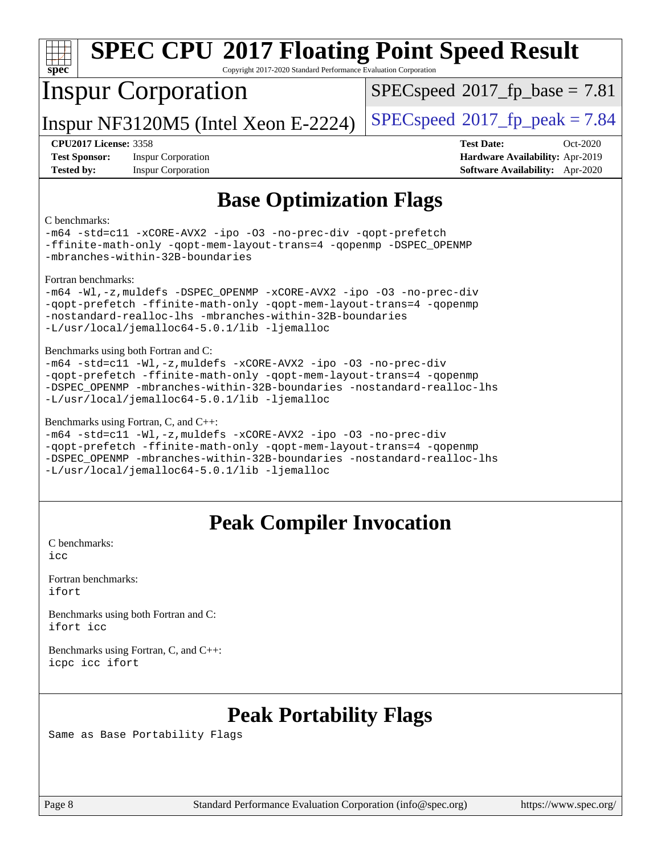| <b>SPEC CPU®2017 Floating Point Speed Result</b>                                                                                                                                                                                                                                                          |                                                                                                            |  |  |
|-----------------------------------------------------------------------------------------------------------------------------------------------------------------------------------------------------------------------------------------------------------------------------------------------------------|------------------------------------------------------------------------------------------------------------|--|--|
| $spec^*$<br>Copyright 2017-2020 Standard Performance Evaluation Corporation<br><b>Inspur Corporation</b><br>$SPEC speed$ <sup>®</sup> 2017_fp_base = 7.81                                                                                                                                                 |                                                                                                            |  |  |
| Inspur NF3120M5 (Intel Xeon E-2224)                                                                                                                                                                                                                                                                       | $SPEC speed^{\circ}2017$ [p_peak = 7.84                                                                    |  |  |
| <b>CPU2017 License: 3358</b><br><b>Test Sponsor:</b><br><b>Inspur Corporation</b><br><b>Tested by:</b><br><b>Inspur Corporation</b>                                                                                                                                                                       | <b>Test Date:</b><br>Oct-2020<br>Hardware Availability: Apr-2019<br><b>Software Availability:</b> Apr-2020 |  |  |
| <b>Base Optimization Flags</b>                                                                                                                                                                                                                                                                            |                                                                                                            |  |  |
| C benchmarks:<br>-m64 -std=c11 -xCORE-AVX2 -ipo -03 -no-prec-div -qopt-prefetch<br>-ffinite-math-only -qopt-mem-layout-trans=4 -qopenmp -DSPEC_OPENMP<br>-mbranches-within-32B-boundaries                                                                                                                 |                                                                                                            |  |  |
| Fortran benchmarks:<br>-m64 -Wl,-z, muldefs -DSPEC_OPENMP -xCORE-AVX2 -ipo -03 -no-prec-div<br>-qopt-prefetch -ffinite-math-only -qopt-mem-layout-trans=4 -qopenmp<br>-nostandard-realloc-lhs -mbranches-within-32B-boundaries<br>-L/usr/local/jemalloc64-5.0.1/lib -ljemalloc                            |                                                                                                            |  |  |
| Benchmarks using both Fortran and C:<br>-m64 -std=c11 -Wl,-z, muldefs -xCORE-AVX2 -ipo -03 -no-prec-div<br>-qopt-prefetch -ffinite-math-only -qopt-mem-layout-trans=4 -qopenmp<br>-DSPEC_OPENMP -mbranches-within-32B-boundaries -nostandard-realloc-lhs<br>-L/usr/local/jemalloc64-5.0.1/lib -ljemalloc  |                                                                                                            |  |  |
| Benchmarks using Fortran, C, and C++:<br>-m64 -std=c11 -Wl,-z, muldefs -xCORE-AVX2 -ipo -03 -no-prec-div<br>-qopt-prefetch -ffinite-math-only -qopt-mem-layout-trans=4 -qopenmp<br>-DSPEC OPENMP -mbranches-within-32B-boundaries -nostandard-realloc-lhs<br>-L/usr/local/jemalloc64-5.0.1/lib -ljemalloc |                                                                                                            |  |  |
| <b>Peak Compiler Invocation</b>                                                                                                                                                                                                                                                                           |                                                                                                            |  |  |
| C benchmarks:<br>icc                                                                                                                                                                                                                                                                                      |                                                                                                            |  |  |
| Fortran benchmarks:<br>ifort                                                                                                                                                                                                                                                                              |                                                                                                            |  |  |
| Benchmarks using both Fortran and C:                                                                                                                                                                                                                                                                      |                                                                                                            |  |  |

[ifort](http://www.spec.org/cpu2017/results/res2020q4/cpu2017-20201109-24380.flags.html#user_CC_FCpeak_intel_ifort_8111460550e3ca792625aed983ce982f94888b8b503583aa7ba2b8303487b4d8a21a13e7191a45c5fd58ff318f48f9492884d4413fa793fd88dd292cad7027ca) [icc](http://www.spec.org/cpu2017/results/res2020q4/cpu2017-20201109-24380.flags.html#user_CC_FCpeak_intel_icc_66fc1ee009f7361af1fbd72ca7dcefbb700085f36577c54f309893dd4ec40d12360134090235512931783d35fd58c0460139e722d5067c5574d8eaf2b3e37e92)

[Benchmarks using Fortran, C, and C++:](http://www.spec.org/auto/cpu2017/Docs/result-fields.html#BenchmarksusingFortranCandCXX) [icpc](http://www.spec.org/cpu2017/results/res2020q4/cpu2017-20201109-24380.flags.html#user_CC_CXX_FCpeak_intel_icpc_c510b6838c7f56d33e37e94d029a35b4a7bccf4766a728ee175e80a419847e808290a9b78be685c44ab727ea267ec2f070ec5dc83b407c0218cded6866a35d07) [icc](http://www.spec.org/cpu2017/results/res2020q4/cpu2017-20201109-24380.flags.html#user_CC_CXX_FCpeak_intel_icc_66fc1ee009f7361af1fbd72ca7dcefbb700085f36577c54f309893dd4ec40d12360134090235512931783d35fd58c0460139e722d5067c5574d8eaf2b3e37e92) [ifort](http://www.spec.org/cpu2017/results/res2020q4/cpu2017-20201109-24380.flags.html#user_CC_CXX_FCpeak_intel_ifort_8111460550e3ca792625aed983ce982f94888b8b503583aa7ba2b8303487b4d8a21a13e7191a45c5fd58ff318f48f9492884d4413fa793fd88dd292cad7027ca)

# **[Peak Portability Flags](http://www.spec.org/auto/cpu2017/Docs/result-fields.html#PeakPortabilityFlags)**

Same as Base Portability Flags

Page 8 Standard Performance Evaluation Corporation [\(info@spec.org\)](mailto:info@spec.org) <https://www.spec.org/>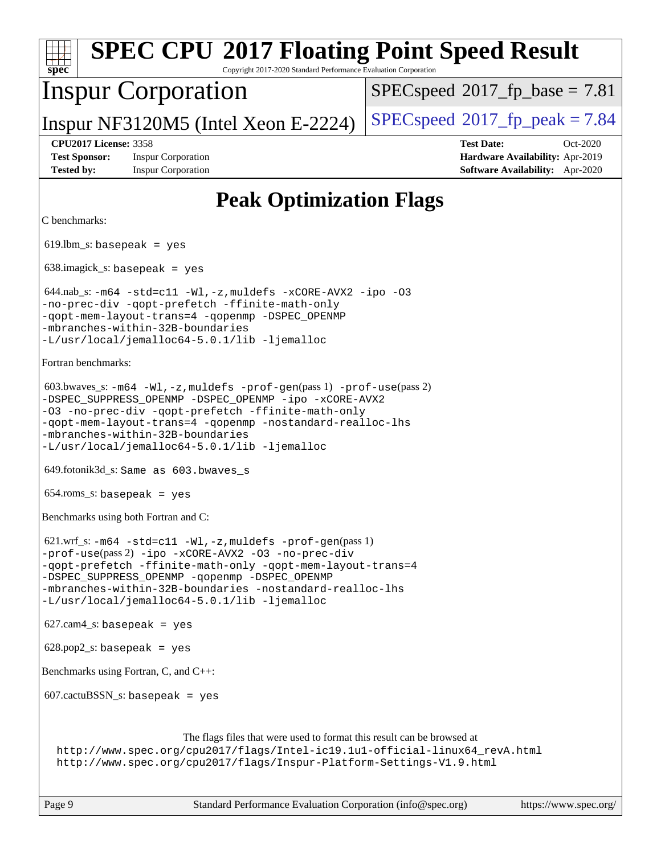## **[spec](http://www.spec.org/) [SPEC CPU](http://www.spec.org/auto/cpu2017/Docs/result-fields.html#SPECCPU2017FloatingPointSpeedResult)[2017 Floating Point Speed Result](http://www.spec.org/auto/cpu2017/Docs/result-fields.html#SPECCPU2017FloatingPointSpeedResult)** Copyright 2017-2020 Standard Performance Evaluation Corporation Inspur Corporation Inspur NF3120M5 (Intel Xeon E-2224)  $|SPECspeed^{\circ}2017_fp_peak = 7.84$  $|SPECspeed^{\circ}2017_fp_peak = 7.84$  $|SPECspeed^{\circ}2017_fp_peak = 7.84$  $|SPECspeed^{\circ}2017_fp_peak = 7.84$  $|SPECspeed^{\circ}2017_fp_peak = 7.84$  $SPECspeed^{\circledcirc}2017\_fp\_base = 7.81$  $SPECspeed^{\circledcirc}2017\_fp\_base = 7.81$ **[CPU2017 License:](http://www.spec.org/auto/cpu2017/Docs/result-fields.html#CPU2017License)** 3358 **[Test Date:](http://www.spec.org/auto/cpu2017/Docs/result-fields.html#TestDate)** Oct-2020 **[Test Sponsor:](http://www.spec.org/auto/cpu2017/Docs/result-fields.html#TestSponsor)** Inspur Corporation **[Hardware Availability:](http://www.spec.org/auto/cpu2017/Docs/result-fields.html#HardwareAvailability)** Apr-2019 **[Tested by:](http://www.spec.org/auto/cpu2017/Docs/result-fields.html#Testedby)** Inspur Corporation **[Software Availability:](http://www.spec.org/auto/cpu2017/Docs/result-fields.html#SoftwareAvailability)** Apr-2020 **[Peak Optimization Flags](http://www.spec.org/auto/cpu2017/Docs/result-fields.html#PeakOptimizationFlags)** [C benchmarks](http://www.spec.org/auto/cpu2017/Docs/result-fields.html#Cbenchmarks): 619.lbm\_s: basepeak = yes 638.imagick\_s: basepeak = yes  $644.nab$ <sub>S</sub>:  $-m64$   $-std=cl1$   $-Wl$ ,  $-z$ , muldefs  $-xCORE$ -AVX2  $-ipo$  [-O3](http://www.spec.org/cpu2017/results/res2020q4/cpu2017-20201109-24380.flags.html#user_peakCOPTIMIZE644_nab_s_f-O3) [-no-prec-div](http://www.spec.org/cpu2017/results/res2020q4/cpu2017-20201109-24380.flags.html#user_peakCOPTIMIZE644_nab_s_f-no-prec-div) [-qopt-prefetch](http://www.spec.org/cpu2017/results/res2020q4/cpu2017-20201109-24380.flags.html#user_peakCOPTIMIZE644_nab_s_f-qopt-prefetch) [-ffinite-math-only](http://www.spec.org/cpu2017/results/res2020q4/cpu2017-20201109-24380.flags.html#user_peakCOPTIMIZE644_nab_s_f_finite_math_only_cb91587bd2077682c4b38af759c288ed7c732db004271a9512da14a4f8007909a5f1427ecbf1a0fb78ff2a814402c6114ac565ca162485bbcae155b5e4258871) [-qopt-mem-layout-trans=4](http://www.spec.org/cpu2017/results/res2020q4/cpu2017-20201109-24380.flags.html#user_peakCOPTIMIZE644_nab_s_f-qopt-mem-layout-trans_fa39e755916c150a61361b7846f310bcdf6f04e385ef281cadf3647acec3f0ae266d1a1d22d972a7087a248fd4e6ca390a3634700869573d231a252c784941a8) [-qopenmp](http://www.spec.org/cpu2017/results/res2020q4/cpu2017-20201109-24380.flags.html#user_peakCOPTIMIZE644_nab_s_qopenmp_16be0c44f24f464004c6784a7acb94aca937f053568ce72f94b139a11c7c168634a55f6653758ddd83bcf7b8463e8028bb0b48b77bcddc6b78d5d95bb1df2967) [-DSPEC\\_OPENMP](http://www.spec.org/cpu2017/results/res2020q4/cpu2017-20201109-24380.flags.html#suite_peakCOPTIMIZE644_nab_s_DSPEC_OPENMP) [-mbranches-within-32B-boundaries](http://www.spec.org/cpu2017/results/res2020q4/cpu2017-20201109-24380.flags.html#user_peakEXTRA_COPTIMIZE644_nab_s_f-mbranches-within-32B-boundaries) [-L/usr/local/jemalloc64-5.0.1/lib](http://www.spec.org/cpu2017/results/res2020q4/cpu2017-20201109-24380.flags.html#user_peakEXTRA_LIBS644_nab_s_jemalloc_link_path64_1_cc289568b1a6c0fd3b62c91b824c27fcb5af5e8098e6ad028160d21144ef1b8aef3170d2acf0bee98a8da324cfe4f67d0a3d0c4cc4673d993d694dc2a0df248b) [-ljemalloc](http://www.spec.org/cpu2017/results/res2020q4/cpu2017-20201109-24380.flags.html#user_peakEXTRA_LIBS644_nab_s_jemalloc_link_lib_d1249b907c500fa1c0672f44f562e3d0f79738ae9e3c4a9c376d49f265a04b9c99b167ecedbf6711b3085be911c67ff61f150a17b3472be731631ba4d0471706) [Fortran benchmarks:](http://www.spec.org/auto/cpu2017/Docs/result-fields.html#Fortranbenchmarks) 603.bwaves\_s: [-m64](http://www.spec.org/cpu2017/results/res2020q4/cpu2017-20201109-24380.flags.html#user_peakFCLD603_bwaves_s_m64-icc) [-Wl,-z,muldefs](http://www.spec.org/cpu2017/results/res2020q4/cpu2017-20201109-24380.flags.html#user_peakEXTRA_LDFLAGS603_bwaves_s_link_force_multiple1_b4cbdb97b34bdee9ceefcfe54f4c8ea74255f0b02a4b23e853cdb0e18eb4525ac79b5a88067c842dd0ee6996c24547a27a4b99331201badda8798ef8a743f577) [-prof-gen](http://www.spec.org/cpu2017/results/res2020q4/cpu2017-20201109-24380.flags.html#user_peakPASS1_FFLAGSPASS1_LDFLAGS603_bwaves_s_prof_gen_5aa4926d6013ddb2a31985c654b3eb18169fc0c6952a63635c234f711e6e63dd76e94ad52365559451ec499a2cdb89e4dc58ba4c67ef54ca681ffbe1461d6b36)(pass 1) [-prof-use](http://www.spec.org/cpu2017/results/res2020q4/cpu2017-20201109-24380.flags.html#user_peakPASS2_FFLAGSPASS2_LDFLAGS603_bwaves_s_prof_use_1a21ceae95f36a2b53c25747139a6c16ca95bd9def2a207b4f0849963b97e94f5260e30a0c64f4bb623698870e679ca08317ef8150905d41bd88c6f78df73f19)(pass 2) [-DSPEC\\_SUPPRESS\\_OPENMP](http://www.spec.org/cpu2017/results/res2020q4/cpu2017-20201109-24380.flags.html#suite_peakPASS1_FOPTIMIZE603_bwaves_s_DSPEC_SUPPRESS_OPENMP) [-DSPEC\\_OPENMP](http://www.spec.org/cpu2017/results/res2020q4/cpu2017-20201109-24380.flags.html#suite_peakPASS2_FOPTIMIZE603_bwaves_s_DSPEC_OPENMP) [-ipo](http://www.spec.org/cpu2017/results/res2020q4/cpu2017-20201109-24380.flags.html#user_peakPASS1_FOPTIMIZEPASS2_FOPTIMIZE603_bwaves_s_f-ipo) [-xCORE-AVX2](http://www.spec.org/cpu2017/results/res2020q4/cpu2017-20201109-24380.flags.html#user_peakPASS2_FOPTIMIZE603_bwaves_s_f-xCORE-AVX2) [-O3](http://www.spec.org/cpu2017/results/res2020q4/cpu2017-20201109-24380.flags.html#user_peakPASS1_FOPTIMIZEPASS2_FOPTIMIZE603_bwaves_s_f-O3) [-no-prec-div](http://www.spec.org/cpu2017/results/res2020q4/cpu2017-20201109-24380.flags.html#user_peakPASS1_FOPTIMIZEPASS2_FOPTIMIZE603_bwaves_s_f-no-prec-div) [-qopt-prefetch](http://www.spec.org/cpu2017/results/res2020q4/cpu2017-20201109-24380.flags.html#user_peakPASS1_FOPTIMIZEPASS2_FOPTIMIZE603_bwaves_s_f-qopt-prefetch) [-ffinite-math-only](http://www.spec.org/cpu2017/results/res2020q4/cpu2017-20201109-24380.flags.html#user_peakPASS1_FOPTIMIZEPASS2_FOPTIMIZE603_bwaves_s_f_finite_math_only_cb91587bd2077682c4b38af759c288ed7c732db004271a9512da14a4f8007909a5f1427ecbf1a0fb78ff2a814402c6114ac565ca162485bbcae155b5e4258871) [-qopt-mem-layout-trans=4](http://www.spec.org/cpu2017/results/res2020q4/cpu2017-20201109-24380.flags.html#user_peakPASS1_FOPTIMIZEPASS2_FOPTIMIZE603_bwaves_s_f-qopt-mem-layout-trans_fa39e755916c150a61361b7846f310bcdf6f04e385ef281cadf3647acec3f0ae266d1a1d22d972a7087a248fd4e6ca390a3634700869573d231a252c784941a8) [-qopenmp](http://www.spec.org/cpu2017/results/res2020q4/cpu2017-20201109-24380.flags.html#user_peakPASS2_FOPTIMIZE603_bwaves_s_qopenmp_16be0c44f24f464004c6784a7acb94aca937f053568ce72f94b139a11c7c168634a55f6653758ddd83bcf7b8463e8028bb0b48b77bcddc6b78d5d95bb1df2967) [-nostandard-realloc-lhs](http://www.spec.org/cpu2017/results/res2020q4/cpu2017-20201109-24380.flags.html#user_peakEXTRA_FOPTIMIZE603_bwaves_s_f_2003_std_realloc_82b4557e90729c0f113870c07e44d33d6f5a304b4f63d4c15d2d0f1fab99f5daaed73bdb9275d9ae411527f28b936061aa8b9c8f2d63842963b95c9dd6426b8a) [-mbranches-within-32B-boundaries](http://www.spec.org/cpu2017/results/res2020q4/cpu2017-20201109-24380.flags.html#user_peakEXTRA_FOPTIMIZE603_bwaves_s_f-mbranches-within-32B-boundaries) [-L/usr/local/jemalloc64-5.0.1/lib](http://www.spec.org/cpu2017/results/res2020q4/cpu2017-20201109-24380.flags.html#user_peakEXTRA_LIBS603_bwaves_s_jemalloc_link_path64_1_cc289568b1a6c0fd3b62c91b824c27fcb5af5e8098e6ad028160d21144ef1b8aef3170d2acf0bee98a8da324cfe4f67d0a3d0c4cc4673d993d694dc2a0df248b) [-ljemalloc](http://www.spec.org/cpu2017/results/res2020q4/cpu2017-20201109-24380.flags.html#user_peakEXTRA_LIBS603_bwaves_s_jemalloc_link_lib_d1249b907c500fa1c0672f44f562e3d0f79738ae9e3c4a9c376d49f265a04b9c99b167ecedbf6711b3085be911c67ff61f150a17b3472be731631ba4d0471706) 649.fotonik3d\_s: Same as 603.bwaves\_s 654.roms\_s: basepeak = yes [Benchmarks using both Fortran and C](http://www.spec.org/auto/cpu2017/Docs/result-fields.html#BenchmarksusingbothFortranandC): 621.wrf\_s: [-m64](http://www.spec.org/cpu2017/results/res2020q4/cpu2017-20201109-24380.flags.html#user_peakCCFCLD621_wrf_s_m64-icc) [-std=c11](http://www.spec.org/cpu2017/results/res2020q4/cpu2017-20201109-24380.flags.html#user_peakCC621_wrf_s_std-icc-std_0e1c27790398a4642dfca32ffe6c27b5796f9c2d2676156f2e42c9c44eaad0c049b1cdb667a270c34d979996257aeb8fc440bfb01818dbc9357bd9d174cb8524) [-Wl,-z,muldefs](http://www.spec.org/cpu2017/results/res2020q4/cpu2017-20201109-24380.flags.html#user_peakEXTRA_LDFLAGS621_wrf_s_link_force_multiple1_b4cbdb97b34bdee9ceefcfe54f4c8ea74255f0b02a4b23e853cdb0e18eb4525ac79b5a88067c842dd0ee6996c24547a27a4b99331201badda8798ef8a743f577) [-prof-gen](http://www.spec.org/cpu2017/results/res2020q4/cpu2017-20201109-24380.flags.html#user_peakPASS1_CFLAGSPASS1_FFLAGSPASS1_LDFLAGS621_wrf_s_prof_gen_5aa4926d6013ddb2a31985c654b3eb18169fc0c6952a63635c234f711e6e63dd76e94ad52365559451ec499a2cdb89e4dc58ba4c67ef54ca681ffbe1461d6b36)(pass 1) [-prof-use](http://www.spec.org/cpu2017/results/res2020q4/cpu2017-20201109-24380.flags.html#user_peakPASS2_CFLAGSPASS2_FFLAGSPASS2_LDFLAGS621_wrf_s_prof_use_1a21ceae95f36a2b53c25747139a6c16ca95bd9def2a207b4f0849963b97e94f5260e30a0c64f4bb623698870e679ca08317ef8150905d41bd88c6f78df73f19)(pass 2) [-ipo](http://www.spec.org/cpu2017/results/res2020q4/cpu2017-20201109-24380.flags.html#user_peakPASS1_COPTIMIZEPASS1_FOPTIMIZEPASS2_COPTIMIZEPASS2_FOPTIMIZE621_wrf_s_f-ipo) [-xCORE-AVX2](http://www.spec.org/cpu2017/results/res2020q4/cpu2017-20201109-24380.flags.html#user_peakPASS2_COPTIMIZEPASS2_FOPTIMIZE621_wrf_s_f-xCORE-AVX2) [-O3](http://www.spec.org/cpu2017/results/res2020q4/cpu2017-20201109-24380.flags.html#user_peakPASS1_COPTIMIZEPASS1_FOPTIMIZEPASS2_COPTIMIZEPASS2_FOPTIMIZE621_wrf_s_f-O3) [-no-prec-div](http://www.spec.org/cpu2017/results/res2020q4/cpu2017-20201109-24380.flags.html#user_peakPASS1_COPTIMIZEPASS1_FOPTIMIZEPASS2_COPTIMIZEPASS2_FOPTIMIZE621_wrf_s_f-no-prec-div) [-qopt-prefetch](http://www.spec.org/cpu2017/results/res2020q4/cpu2017-20201109-24380.flags.html#user_peakPASS1_COPTIMIZEPASS1_FOPTIMIZEPASS2_COPTIMIZEPASS2_FOPTIMIZE621_wrf_s_f-qopt-prefetch) [-ffinite-math-only](http://www.spec.org/cpu2017/results/res2020q4/cpu2017-20201109-24380.flags.html#user_peakPASS1_COPTIMIZEPASS1_FOPTIMIZEPASS2_COPTIMIZEPASS2_FOPTIMIZE621_wrf_s_f_finite_math_only_cb91587bd2077682c4b38af759c288ed7c732db004271a9512da14a4f8007909a5f1427ecbf1a0fb78ff2a814402c6114ac565ca162485bbcae155b5e4258871) [-qopt-mem-layout-trans=4](http://www.spec.org/cpu2017/results/res2020q4/cpu2017-20201109-24380.flags.html#user_peakPASS1_COPTIMIZEPASS1_FOPTIMIZEPASS2_COPTIMIZEPASS2_FOPTIMIZE621_wrf_s_f-qopt-mem-layout-trans_fa39e755916c150a61361b7846f310bcdf6f04e385ef281cadf3647acec3f0ae266d1a1d22d972a7087a248fd4e6ca390a3634700869573d231a252c784941a8) -DSPEC SUPPRESS OPENMP [-qopenmp](http://www.spec.org/cpu2017/results/res2020q4/cpu2017-20201109-24380.flags.html#user_peakPASS2_COPTIMIZEPASS2_FOPTIMIZE621_wrf_s_qopenmp_16be0c44f24f464004c6784a7acb94aca937f053568ce72f94b139a11c7c168634a55f6653758ddd83bcf7b8463e8028bb0b48b77bcddc6b78d5d95bb1df2967) -DSPEC OPENMP [-mbranches-within-32B-boundaries](http://www.spec.org/cpu2017/results/res2020q4/cpu2017-20201109-24380.flags.html#user_peakEXTRA_COPTIMIZEEXTRA_FOPTIMIZE621_wrf_s_f-mbranches-within-32B-boundaries) [-nostandard-realloc-lhs](http://www.spec.org/cpu2017/results/res2020q4/cpu2017-20201109-24380.flags.html#user_peakEXTRA_FOPTIMIZE621_wrf_s_f_2003_std_realloc_82b4557e90729c0f113870c07e44d33d6f5a304b4f63d4c15d2d0f1fab99f5daaed73bdb9275d9ae411527f28b936061aa8b9c8f2d63842963b95c9dd6426b8a) [-L/usr/local/jemalloc64-5.0.1/lib](http://www.spec.org/cpu2017/results/res2020q4/cpu2017-20201109-24380.flags.html#user_peakEXTRA_LIBS621_wrf_s_jemalloc_link_path64_1_cc289568b1a6c0fd3b62c91b824c27fcb5af5e8098e6ad028160d21144ef1b8aef3170d2acf0bee98a8da324cfe4f67d0a3d0c4cc4673d993d694dc2a0df248b) [-ljemalloc](http://www.spec.org/cpu2017/results/res2020q4/cpu2017-20201109-24380.flags.html#user_peakEXTRA_LIBS621_wrf_s_jemalloc_link_lib_d1249b907c500fa1c0672f44f562e3d0f79738ae9e3c4a9c376d49f265a04b9c99b167ecedbf6711b3085be911c67ff61f150a17b3472be731631ba4d0471706) 627.cam4\_s: basepeak = yes  $628.pop2_s:$  basepeak = yes [Benchmarks using Fortran, C, and C++](http://www.spec.org/auto/cpu2017/Docs/result-fields.html#BenchmarksusingFortranCandCXX):  $607.cactuBSSN_s$ : basepeak = yes [The flags files that were used to format this result can be browsed at](tmsearch) [http://www.spec.org/cpu2017/flags/Intel-ic19.1u1-official-linux64\\_revA.html](http://www.spec.org/cpu2017/flags/Intel-ic19.1u1-official-linux64_revA.html) <http://www.spec.org/cpu2017/flags/Inspur-Platform-Settings-V1.9.html>